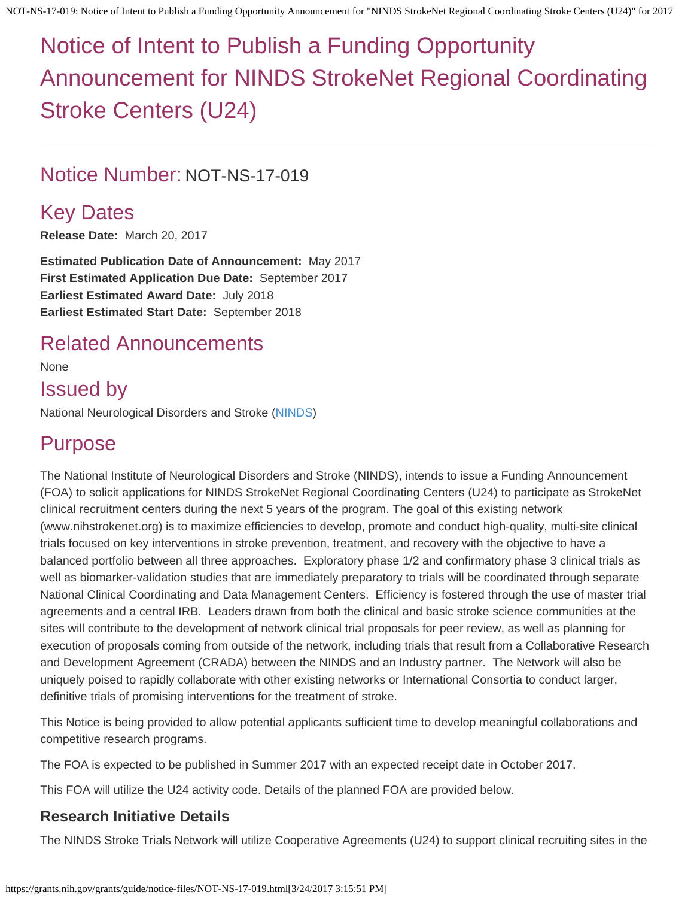# Notice of Intent to Publish a Funding Opportunity Announcement for NINDS StrokeNet Regional Coordinating Stroke Centers (U24)

## Notice Number: NOT-NS-17-019

# Key Dates

**Release Date:** March 20, 2017

**Estimated Publication Date of Announcement:** May 2017 **First Estimated Application Due Date:** September 2017 **Earliest Estimated Award Date:** July 2018 **Earliest Estimated Start Date:** September 2018

# Related Announcements

None

Issued by National Neurological Disorders and Stroke [\(NINDS](http://www.ninds.nih.gov/))

# Purpose

The National Institute of Neurological Disorders and Stroke (NINDS), intends to issue a Funding Announcement (FOA) to solicit applications for NINDS StrokeNet Regional Coordinating Centers (U24) to participate as StrokeNet clinical recruitment centers during the next 5 years of the program. The goal of this existing network (www.nihstrokenet.org) is to maximize efficiencies to develop, promote and conduct high-quality, multi-site clinical trials focused on key interventions in stroke prevention, treatment, and recovery with the objective to have a balanced portfolio between all three approaches. Exploratory phase 1/2 and confirmatory phase 3 clinical trials as well as biomarker-validation studies that are immediately preparatory to trials will be coordinated through separate National Clinical Coordinating and Data Management Centers. Efficiency is fostered through the use of master trial agreements and a central IRB. Leaders drawn from both the clinical and basic stroke science communities at the sites will contribute to the development of network clinical trial proposals for peer review, as well as planning for execution of proposals coming from outside of the network, including trials that result from a Collaborative Research and Development Agreement (CRADA) between the NINDS and an Industry partner. The Network will also be uniquely poised to rapidly collaborate with other existing networks or International Consortia to conduct larger, definitive trials of promising interventions for the treatment of stroke.

This Notice is being provided to allow potential applicants sufficient time to develop meaningful collaborations and competitive research programs.

The FOA is expected to be published in Summer 2017 with an expected receipt date in October 2017.

This FOA will utilize the U24 activity code. Details of the planned FOA are provided below.

#### **Research Initiative Details**

The NINDS Stroke Trials Network will utilize Cooperative Agreements (U24) to support clinical recruiting sites in the